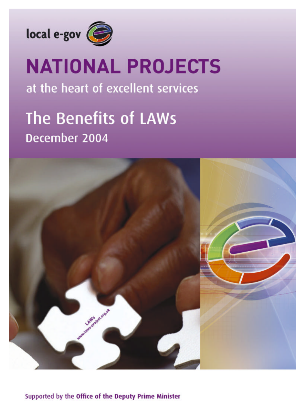

# **NATIONAL PROJECTS**

at the heart of excellent services

## The Benefits of LAWs December 2004



**Supported by the Office of the Deputy Prime Minister**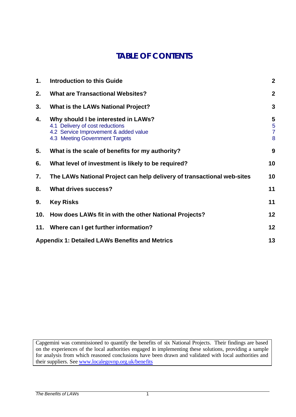## **TABLE OF CONTENTS**

| 1.  | <b>Introduction to this Guide</b>                                                                                                                 | $\boldsymbol{2}$              |
|-----|---------------------------------------------------------------------------------------------------------------------------------------------------|-------------------------------|
| 2.  | <b>What are Transactional Websites?</b>                                                                                                           | $\boldsymbol{2}$              |
| 3.  | <b>What is the LAWs National Project?</b>                                                                                                         | 3                             |
| 4.  | Why should I be interested in LAWs?<br>4.1 Delivery of cost reductions<br>4.2 Service Improvement & added value<br>4.3 Meeting Government Targets | 5<br>5<br>$\overline{7}$<br>8 |
| 5.  | What is the scale of benefits for my authority?                                                                                                   | 9                             |
| 6.  | What level of investment is likely to be required?                                                                                                | 10                            |
| 7.  | The LAWs National Project can help delivery of transactional web-sites                                                                            |                               |
| 8.  | <b>What drives success?</b>                                                                                                                       | 11                            |
| 9.  | <b>Key Risks</b>                                                                                                                                  | 11                            |
| 10. | How does LAWs fit in with the other National Projects?                                                                                            | 12                            |
|     | 11. Where can I get further information?                                                                                                          | 12                            |
|     | <b>Appendix 1: Detailed LAWs Benefits and Metrics</b>                                                                                             | 13                            |

Capgemini was commissioned to quantify the benefits of six National Projects. Their findings are based on the experiences of the local authorities engaged in implementing these solutions, providing a sample for analysis from which reasoned conclusions have been drawn and validated with local authorities and their suppliers. See www.localegovnp.org.uk/benefits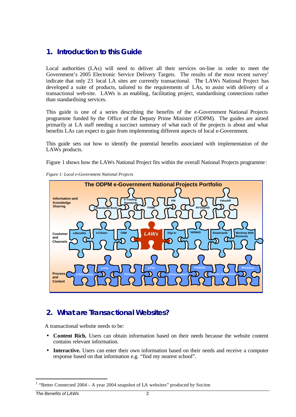#### **1. Introduction to this Guide**

Local authorities (LAs) will need to deliver all their services on-line in order to meet the Government's 2005 Electronic Service Delivery Targets. The results of the most recent survey indicate that only 23 local LA sites are currently transactional. The LAWs National Project has developed a suite of products, tailored to the requirements of LAs, to assist with delivery of a transactional web-site. LAWs is an enabling, facilitating project, standardising connections rather than standardising services.

This guide is one of a series describing the benefits of the e-Government National Projects programme funded by the Office of the Deputy Prime Minister (ODPM). The guides are aimed primarily at LA staff needing a succinct summary of what each of the projects is about and what benefits LAs can expect to gain from implementing different aspects of local e-Government.

This guide sets out how to identify the potential benefits associated with implementation of the LAWs products.

Figure 1 shows how the LAWs National Project fits within the overall National Projects programme:





#### **2. What are Transactional Websites?**

A transactional website needs to be:

- **Content Rich.** Users can obtain information based on their needs because the website content contains relevant information.
- **Interactive.** Users can enter their own information based on their needs and receive a computer response based on that information e.g. "find my nearest school".

l

<sup>&</sup>lt;sup>1</sup> "Better Connected 2004 – A year 2004 snapshot of LA websites" produced by Socitm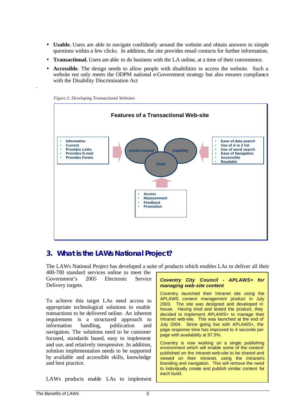- **Usable.** Users are able to navigate confidently around the website and obtain answers to simple questions within a few clicks. In addition, the site provides email contacts for further information.
- **Transactional.** Users are able to do business with the LA online, at a time of their convenience.
- **Accessible.** The design needs to allow people with disabilities to access the website. Such a website not only meets the ODPM national e-Government strategy but also ensures compliance with the Disability Discrimination Act





.

#### **3. What is the LAWs National Project?**

The LAWs National Project has developed a suite of products which enables LAs to deliver all their

| 400-700 standard services online to meet the                                                                                                                                                                                                                                                                                                                                                                                                                                                                                                                |                                                                                                                                                                                                                                                                                                                                                                                                                                                                                                                                                                                                                                                                                                                                                                                                |
|-------------------------------------------------------------------------------------------------------------------------------------------------------------------------------------------------------------------------------------------------------------------------------------------------------------------------------------------------------------------------------------------------------------------------------------------------------------------------------------------------------------------------------------------------------------|------------------------------------------------------------------------------------------------------------------------------------------------------------------------------------------------------------------------------------------------------------------------------------------------------------------------------------------------------------------------------------------------------------------------------------------------------------------------------------------------------------------------------------------------------------------------------------------------------------------------------------------------------------------------------------------------------------------------------------------------------------------------------------------------|
| Government's 2005 Electronic<br>Service<br>Delivery targets.                                                                                                                                                                                                                                                                                                                                                                                                                                                                                                | Coventry City Council - APLAWS+ for<br>managing web-site content                                                                                                                                                                                                                                                                                                                                                                                                                                                                                                                                                                                                                                                                                                                               |
| To achieve this target LAs need access to<br>appropriate technological solutions to enable<br>transactions to be delivered online. An inherent<br>requirement is a structured approach to<br>information handling, publication<br>and<br>navigation. The solutions need to be customer<br>focused, standards based, easy to implement<br>and use, and relatively inexpensive. In addition,<br>solution implementation needs to be supported<br>by available and accessible skills, knowledge<br>and best practice.<br>LAWs products enable LAs to implement | Coventry launched their Intranet site using the<br>APLAWS content management product in July<br>2003. The site was designed and developed in<br>house. Having tried and tested the product, they<br>decided to implement APLAWS+ to manage their<br>Intranet web-site. This was launched at the end of<br>July 2004. Since going live with APLAWS+, the<br>page response time has improved to 4 seconds per<br>page with availability at 97.5%.<br>Coventry is now working on a single publishing<br>environment which will enable some of the content<br>published on the Intranet web-site to be shared and<br>viewed on their Intranet, using the Intranet's<br>branding and navigation. This will remove the need<br>to individually create and publish similar content for<br>each build. |
| The Benefits of LAWs<br>3                                                                                                                                                                                                                                                                                                                                                                                                                                                                                                                                   |                                                                                                                                                                                                                                                                                                                                                                                                                                                                                                                                                                                                                                                                                                                                                                                                |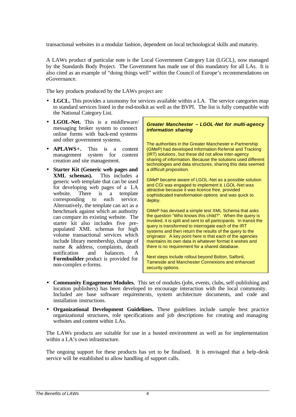transactional websites in a modular fashion, dependent on local technological skills and maturity.

A LAWs product of particular note is the Local Government Category List (LGCL), now managed by the Standards Body Project. The Government has made use of this mandatory for all LAs. It is also cited as an example of "doing things well" within the Council of Europe's recommendations on eGovernance.

The key products produced by the LAWs project are:

- **LGCL.** This provides a taxonomy for services available within a LA. The service categories map to standard services listed in the esd-toolkit as well as the BVPI. The list is fully compatible with the National Category List.
- **LGOL-Net.** This is a middleware/ messaging broker system to connect online forms with back-end systems and other government systems.
- **APLAWS+.** This is a content management system for content creation and site management.
- **Starter Kit (Generic web pages and XML schemas).** This includes a generic web template that can be used for developing web pages of a LA website. There is a template corresponding to each service. Alternatively, the template can act as a benchmark against which an authority can compare its existing website. The starter kit also includes five prepopulated XML schemas for high volume transactional services which include library membership, change of name & address, complaints, death notification and balances. A **Formbuilder** product is provided for non-complex e-forms.

*Greater Manchester – LGOL-Net for multi-agency information sharing* 

The authorities in the Greater Manchester e-Partnership (GMeP) had developed Information Referral and Tracking (IRT) solutions , but these did not allow inter-agency sharing of information. Because the solutions used different technologies and data structures, sharing this data seemed a difficult proposition.

GMeP became aware of LGOL-Net as a possible solution and CGI was engaged to implement it. LGOL-Net was attractive because it was licence free, provided sophisticated transformation options and was quick to deploy.

GMeP has devised a simple test XML Schema that asks the question "Who knows this child?". When the query is invoked, it is split and sent to all participants. In transit the query is transformed to interrogate each of the IRT systems and then return the results of the query to the originator. A key point here is that each of the agencies maintains its own data in whatever format it wishes and there is no requirement for a shared database.

Next steps include rollout beyond Bolton, Salford, Tameside and Manchester Connexions and enhanced security options.

- **Community Engagement Modules.** This set of modules (jobs, events, clubs, self-publishing and location publishers) has been developed to encourage interaction with the local community. Included are base software requirements, system architecture documents, and code and installation instructions.
- **Organizational Development Guidelines.** These guidelines include sample best practice organizational structures, role specifications and job descriptions for creating and managing websites and content within LAs.

The LAWs products are suitable for use in a hosted environment as well as for implementation within a LA's own infrastructure.

The ongoing support for these products has yet to be finalised. It is envisaged that a help-desk service will be established to allow handling of support calls.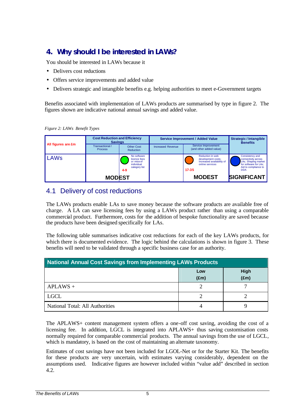## **4. Why should I be interested in LAWs?**

You should be interested in LAWs because it

- Delivers cost reductions
- Offers service improvements and added value
- Delivers strategic and intangible benefits e.g. helping authorities to meet e-Government targets

Benefits associated with implementation of LAWs products are summarised by type in figure 2. The figures shown are indicative national annual savings and added value.

*Figure 2: LAWs Benefit Types*

|                    | <b>Cost Reduction and Efficiency</b><br><b>Savings</b> |                                                                                     |                          | Service Improvement / Added Value                                                                   | <b>Strategic / Intangible</b><br><b>Benefits</b>                                                                             |
|--------------------|--------------------------------------------------------|-------------------------------------------------------------------------------------|--------------------------|-----------------------------------------------------------------------------------------------------|------------------------------------------------------------------------------------------------------------------------------|
| All figures are £m | Transactional /<br><b>Process</b>                      | <b>Other Cost</b><br>Reduction                                                      | <b>Increased Revenue</b> | Service Improvement<br>(and other added value)                                                      |                                                                                                                              |
| LAWs               |                                                        | No software<br>licence fees<br>or mtce of<br>individual<br>category list<br>$4 - 9$ |                          | Reduction in web<br>development costs;<br>Increased availability of<br>online services<br>$17 - 35$ | Consistency and<br>connectivity across<br>LAs; Shaping market<br>for software for LAs;<br>Aid to compliance to<br><b>DDA</b> |
|                    | <b>MODEST</b>                                          |                                                                                     |                          | <b>MODEST</b>                                                                                       | <b>SIGNIFICANT</b>                                                                                                           |

#### 4.1 Delivery of cost reductions

The LAWs products enable LAs to save money because the software products are available free of charge. A LA can save licensing fees by using a LAWs product rather than using a comparable commercial product. Furthermore, costs for the addition of bespoke functionality are saved because the products have been designed specifically for LAs.

The following table summarises indicative cost reductions for each of the key LAWs products, for which there is documented evidence. The logic behind the calculations is shown in figure 3. These benefits will need to be validated through a specific business case for an authority.

| <b>National Annual Cost Savings from Implementing LAWs Products</b> |                      |                       |  |
|---------------------------------------------------------------------|----------------------|-----------------------|--|
|                                                                     | Low<br>$(\text{Em})$ | High<br>$(\text{Em})$ |  |
| $APLAWS +$                                                          |                      |                       |  |
| <b>LGCL</b>                                                         |                      |                       |  |
| National Total: All Authorities                                     |                      |                       |  |

The APLAWS+ content management system offers a one-off cost saving, avoiding the cost of a licensing fee. In addition, LGCL is integrated into APLAWS+ thus saving customisation costs normally required for comparable commercial products. The annual savings from the use of LGCL, which is mandatory, is based on the cost of maintaining an alternate taxonomy.

Estimates of cost savings have not been included for LGOL-Net or for the Starter Kit. The benefits for these products are very uncertain, with estimates varying considerably, dependent on the assumptions used. Indicative figures are however included within "value add" described in section 4.2.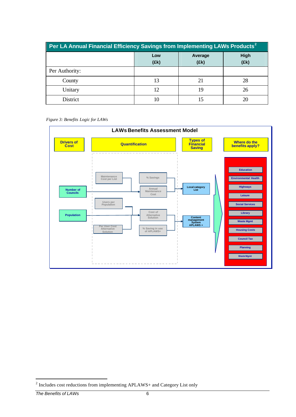| Per LA Annual Financial Efficiency Savings from Implementing LAWs Products <sup>2</sup> |  |    |              |  |
|-----------------------------------------------------------------------------------------|--|----|--------------|--|
| Average<br>Low<br>(Ek)<br>(fk)                                                          |  |    | High<br>(Ek) |  |
| Per Authority:                                                                          |  |    |              |  |
| County                                                                                  |  | 21 | 28           |  |
| Unitary                                                                                 |  | 19 | 26           |  |
| District                                                                                |  |    |              |  |

*Figure 3: Benefits Logic for LAWs*



<sup>&</sup>lt;sup>2</sup> Includes cost reductions from implementing APLAWS+ and Category List only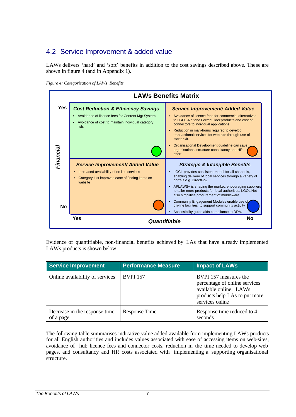### 4.2 Service Improvement & added value

LAWs delivers 'hard' and 'soft' benefits in addition to the cost savings described above. These are shown in figure 4 (and in Appendix 1).





Evidence of quantifiable, non-financial benefits achieved by LAs that have already implemented LAWs products is shown below:

| <b>Service Improvement</b>                 | <b>Performance Measure</b> | <b>Impact of LAWs</b>                                                                                                                |
|--------------------------------------------|----------------------------|--------------------------------------------------------------------------------------------------------------------------------------|
| Online availability of services            | <b>BVPI</b> 157            | BVPI 157 measures the<br>percentage of online services<br>available online. LAWs<br>products help LAs to put more<br>services online |
| Decrease in the response time<br>of a page | Response Time              | Response time reduced to 4<br>seconds                                                                                                |

The following table summarises indicative value added available from implementing LAWs products for all English authorities and includes values associated with ease of accessing items on web-sites, avoidance of hub licence fees and connector costs, reduction in the time needed to develop web pages, and consultancy and HR costs associated with implementing a supporting organisational structure.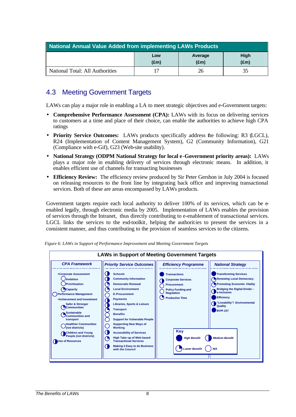| National Annual Value Added from implementing LAWs Products               |  |  |  |
|---------------------------------------------------------------------------|--|--|--|
| High<br>Low<br>Average<br>$(\text{Em})$<br>$(\text{Em})$<br>$(\text{Em})$ |  |  |  |
| National Total: All Authorities<br>26                                     |  |  |  |

#### 4.3 Meeting Government Targets

LAWs can play a major role in enabling a LA to meet strategic objectives and e-Government targets:

- **Comprehensive Performance Assessment (CPA):** LAWs with its focus on delivering services to customers at a time and place of their choice, can enable the authorities to achieve high CPA ratings
- **Priority Service Outcomes:** LAWs products specifically address the following: R3 (LGCL), R24 (Implementation of Content Management System), G2 (Community Information), G21 (Compliance with e-Gif), G23 (Web-site usability).
- **National Strategy (ODPM National Strategy for local e -Government priority areas):** LAWs plays a major role in enabling delivery of services through electronic means. In addition, it enables efficient use of channels for transacting businesses
- **Efficiency Review:** The efficiency review produced by Sir Peter Gershon in July 2004 is focused on releasing resources to the front line by integrating back office and improving transactional services. Both of these are areas encompassed by LAWs products.

Government targets require each local authority to deliver 100% of its services, which can be eenabled legally, through electronic media by 2005. Implementation of LAWs enables the provision of services through the Intranet, thus directly contributing to e-enablement of transactional services. LGCL links the services to the esd-toolkit, helping the authorities to present the services in a consistent manner, and thus contributing to the provision of seamless services to the citizens.



*Figure 6: LAWs in Support of Performance Improvement and Meeting Government Targets*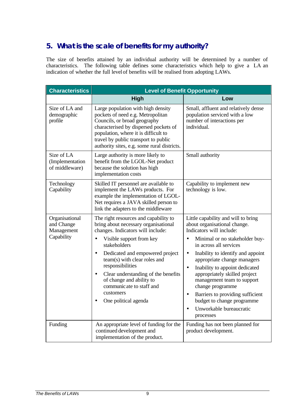## **5. What is the scale of benefits for my authority?**

The size of benefits attained by an individual authority will be determined by a number of characteristics. The following table defines some characteristics which help to give a LA an indication of whether the full level of benefits will be realised from adopting LAWs.

| <b>Characteristics</b>                                   | <b>Level of Benefit Opportunity</b>                                                                                                                                                                                                                                                                                                                                                                                                           |                                                                                                                                                                                                                                                                                                                                                                                                                                                                                                                    |  |
|----------------------------------------------------------|-----------------------------------------------------------------------------------------------------------------------------------------------------------------------------------------------------------------------------------------------------------------------------------------------------------------------------------------------------------------------------------------------------------------------------------------------|--------------------------------------------------------------------------------------------------------------------------------------------------------------------------------------------------------------------------------------------------------------------------------------------------------------------------------------------------------------------------------------------------------------------------------------------------------------------------------------------------------------------|--|
|                                                          | <b>High</b>                                                                                                                                                                                                                                                                                                                                                                                                                                   | Low                                                                                                                                                                                                                                                                                                                                                                                                                                                                                                                |  |
| Size of LA and<br>demographic<br>profile                 | Large population with high density<br>pockets of need e.g. Metropolitan<br>Councils, or broad geography<br>characterised by dispersed pockets of<br>population, where it is difficult to<br>travel by public transport to public<br>authority sites, e.g. some rural districts.                                                                                                                                                               | Small, affluent and relatively dense<br>population serviced with a low<br>number of interactions per<br>individual.                                                                                                                                                                                                                                                                                                                                                                                                |  |
| Size of LA<br>(Implementation<br>of middleware)          | Large authority is more likely to<br>benefit from the LGOL-Net product<br>because the solution has high<br>implementation costs                                                                                                                                                                                                                                                                                                               | Small authority                                                                                                                                                                                                                                                                                                                                                                                                                                                                                                    |  |
| Technology<br>Capability                                 | Skilled IT personnel are available to<br>implement the LAWs products. For<br>example the implementation of LGOL-<br>Net requires a JAVA skilled person to<br>link the adapters to the middleware                                                                                                                                                                                                                                              | Capability to implement new<br>technology is low.                                                                                                                                                                                                                                                                                                                                                                                                                                                                  |  |
| Organisational<br>and Change<br>Management<br>Capability | The right resources and capability to<br>bring about necessary organisational<br>changes. Indicators will include:<br>Visible support from key<br>$\bullet$<br>stakeholders<br>Dedicated and empowered project<br>$\bullet$<br>team(s) with clear roles and<br>responsibilities<br>Clear understanding of the benefits<br>$\bullet$<br>of change and ability to<br>communicate to staff and<br>customers<br>One political agenda<br>$\bullet$ | Little capability and will to bring<br>about organisational change.<br>Indicators will include:<br>Minimal or no stakeholder buy-<br>in across all services<br>Inability to identify and appoint<br>$\bullet$<br>appropriate change managers<br>Inability to appoint dedicated<br>$\bullet$<br>appropriately skilled project<br>management team to support<br>change programme<br>Barriers to providing sufficient<br>$\bullet$<br>budget to change programme<br>Unworkable bureaucratic<br>$\bullet$<br>processes |  |
| Funding                                                  | An appropriate level of funding for the<br>continued development and<br>implementation of the product.                                                                                                                                                                                                                                                                                                                                        | Funding has not been planned for<br>product development.                                                                                                                                                                                                                                                                                                                                                                                                                                                           |  |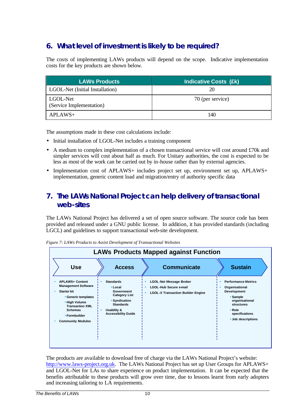## **6. What level of investment is likely to be required?**

The costs of implementing LAWs products will depend on the scope. Indicative implementation costs for the key products are shown below.

| <b>LAWs Products</b>                 | <b>Indicative Costs (£k)</b> |
|--------------------------------------|------------------------------|
| LGOL-Net (Initial Installation)      | 20                           |
| LGOL-Net<br>(Service Implementation) | 70 (per service)             |
| $APLAWS+$                            | 140                          |

The assumptions made in these cost calculations include:

- Initial installation of LGOL-Net includes a training component
- A medium to complex implementation of a chosen transactional service will cost around £70k and simpler services will cost about half as much. For Unitary authorities, the cost is expected to be less as most of the work can be carried out by in-house rather than by external agencies.
- Implementation cost of APLAWS+ includes project set up, environment set up, APLAWS+ implementation, generic content load and migration/entry of authority specific data

#### **7. The LAWs National Project can help delivery of transactional web-sites**

The LAWs National Project has delivered a set of open source software. The source code has been provided and released under a GNU public license. In addition, it has provided standards (including LGCL) and guidelines to support transactional web-site development.



*Figure 7: LAWs Products to Assist Development of Transactional Websites*

The products are available to download free of charge via the LAWs National Project's website: http://www.laws-project.org.uk. The LAWs National Project has set up User Groups for APLAWS+ and LGOL-Net for LAs to share experience on product implementation. It can be expected that the benefits attributable to these products will grow over time, due to lessons learnt from early adopters and increasing tailoring to LA requirements.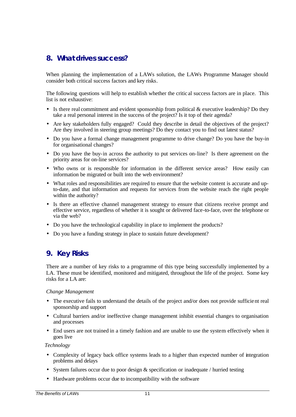#### **8. What drives success?**

When planning the implementation of a LAWs solution, the LAWs Programme Manager should consider both critical success factors and key risks.

The following questions will help to establish whether the critic al success factors are in place. This list is not exhaustive:

- Is there real commitment and evident sponsorship from political  $\&$  executive leadership? Do they take a real personal interest in the success of the project? Is it top of their agenda?
- Are key stakeholders fully engaged? Could they describe in detail the objectives of the project? Are they involved in steering group meetings? Do they contact you to find out latest status?
- Do you have a formal change management programme to drive change? Do you have the buy-in for organisational changes?
- Do you have the buy-in across the authority to put services on-line? Is there agreement on the priority areas for on-line services?
- Who owns or is responsible for information in the different service areas? How easily can information be migrated or built into the web environment?
- What roles and responsibilities are required to ensure that the website content is accurate and upto-date, and that information and requests for services from the website reach the right people within the authority?
- Is there an effective channel management strategy to ensure that citizens receive prompt and effective service, regardless of whether it is sought or delivered face-to-face, over the telephone or via the web?
- Do you have the technological capability in place to implement the products?
- Do you have a funding strategy in place to sustain future development?

#### **9. Key Risks**

There are a number of key risks to a programme of this type being successfully implemented by a LA. These must be identified, monitored and mitigated, throughout the life of the project. Some key risks for a LA are:

#### *Change Management*

- The executive fails to understand the details of the project and/or does not provide sufficient real sponsorship and support
- Cultural barriers and/or ineffective change management inhibit essential changes to organisation and processes
- End users are not trained in a timely fashion and are unable to use the system effectively when it goes live

#### *Technology*

- Complexity of legacy back office systems leads to a higher than expected number of integration problems and delays
- System failures occur due to poor design & specification or inadequate / hurried testing
- Hardware problems occur due to incompatibility with the software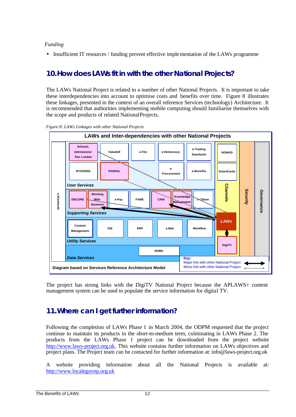#### *Funding*

• Insufficient IT resources / funding prevent effective implementation of the LAWs programme

### **10.How does LAWs fit in with the other National Projects?**

The LAWs National Project is related to a number of other National Projects. It is important to take these interdependencies into account to optimise costs and benefits over time. Figure 8 illustrates these linkages, presented in the context of an overall reference Services (technology) Architecture. It is recommended that authorities implementing mobile computing should familiarise themselves with the scope and products of related National Projects.





The project has strong links with the DigiTV National Project because the APLAWS+ content management system can be used to populate the service information for digital TV.

#### **11.Where can I get further information?**

Following the completion of LAWs Phase 1 in March 2004, the ODPM requested that the project continue to maintain its products in the short-to-medium term, culminating in LAWs Phase 2. The products from the LAWs Phase 1 project can be downloaded from the project website http://www.laws-project.org.uk. This website contains further information on LAWs objectives and project plans. The Project team can be contacted for further information at: info@laws-project.org.uk

A website providing information about all the National Projects is available at: http://www.localegovnp.org.uk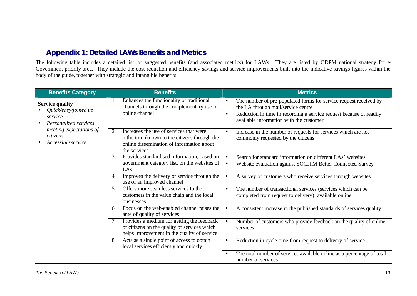#### **Appendix 1: Detailed LAWs Benefits and Metrics**

The following table includes a detailed list of suggested benefits (and associated metrics) for LAWs. They are listed by ODPM national strategy for  $e$ Government priority area. They include the cost reduction and efficiency savings and service improvements built into the indicative savings figures within the body of the guide, together with strategic and intangible benefits.

| <b>Benefits Category</b>                                                                        | <b>Benefits</b>                                                                                                                                            | <b>Metrics</b>                                                                                                                                                                                                                                      |
|-------------------------------------------------------------------------------------------------|------------------------------------------------------------------------------------------------------------------------------------------------------------|-----------------------------------------------------------------------------------------------------------------------------------------------------------------------------------------------------------------------------------------------------|
| <b>Service quality</b><br>Quick/easy/joined up<br>service<br>Personalized services<br>$\bullet$ | Enhances the functionality of traditional<br>channels through the complementary use of<br>online channel                                                   | The number of pre-populated forms for service request received by<br>$\bullet$<br>the LA through mail/service centre<br>Reduction in time in recording a service request because of readily<br>$\bullet$<br>available information with the customer |
| meeting expectations of<br>citizens<br>Accessible service                                       | Increases the use of services that were<br>2.<br>hitherto unknown to the citizens through the<br>online dissemination of information about<br>the services | Increase in the number of requests for services which are not<br>$\bullet$<br>commonly requested by the citizens                                                                                                                                    |
|                                                                                                 | Provides standardised information, based on<br>3.<br>government category list, on the websites of<br>LAs                                                   | Search for standard information on different LAs' websites<br>Website evaluation against SOCITM Better Connected Survey<br>$\bullet$                                                                                                                |
|                                                                                                 | Improves the delivery of service through the<br>4.<br>use of an improved channel                                                                           | A survey of customers who receive services through websites                                                                                                                                                                                         |
|                                                                                                 | Offers more seamless services to the<br>5.<br>customers in the value chain and the local<br>businesses                                                     | The number of transactional services (services which can be<br>$\bullet$<br>completed from request to delivery) available online                                                                                                                    |
|                                                                                                 | Focus on the web-enabled channel raises the<br>6.<br>ante of quality of services                                                                           | A consistent increase in the published standards of services quality                                                                                                                                                                                |
|                                                                                                 | Provides a medium for getting the feedback<br>7.<br>of citizens on the quality of services which<br>helps improvement in the quality of service            | Number of customers who provide feedback on the quality of online<br>services                                                                                                                                                                       |
|                                                                                                 | Acts as a single point of access to obtain<br>8.<br>local services efficiently and quickly                                                                 | Reduction in cycle time from request to delivery of service<br>$\bullet$                                                                                                                                                                            |
|                                                                                                 |                                                                                                                                                            | The total number of services available online as a percentage of total<br>$\bullet$<br>number of services                                                                                                                                           |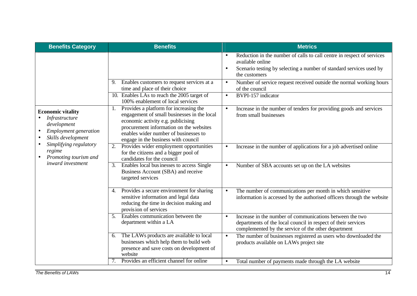| <b>Benefits Category</b>                                                                                                                  | <b>Benefits</b>                                                                                                                                                                                                                                        | <b>Metrics</b>                                                                                                                                                                                                                                                                                   |
|-------------------------------------------------------------------------------------------------------------------------------------------|--------------------------------------------------------------------------------------------------------------------------------------------------------------------------------------------------------------------------------------------------------|--------------------------------------------------------------------------------------------------------------------------------------------------------------------------------------------------------------------------------------------------------------------------------------------------|
|                                                                                                                                           | Enables customers to request services at a<br>$\mathbf{Q}$                                                                                                                                                                                             | Reduction in the number of calls to call centre in respect of services<br>$\bullet$<br>available online<br>Scenario testing by selecting a number of standard services used by<br>$\bullet$<br>the customers<br>Number of service request received outside the normal working hours<br>$\bullet$ |
|                                                                                                                                           | time and place of their choice                                                                                                                                                                                                                         | of the council                                                                                                                                                                                                                                                                                   |
|                                                                                                                                           | 10. Enables LAs to reach the 2005 target of<br>100% enablement of local services                                                                                                                                                                       | BVPI-157 indicator<br>$\bullet$                                                                                                                                                                                                                                                                  |
| <b>Economic vitality</b><br>Infrastructure<br>development<br><b>Employment</b> generation<br>$\bullet$<br>Skills development<br>$\bullet$ | Provides a platform for increasing the<br>engagement of small businesses in the local<br>economic activity e.g. publicising<br>procurement information on the websites<br>enables wider number of businesses to<br>engage in the business with council | Increase in the number of tenders for providing goods and services<br>$\bullet$<br>from small businesses                                                                                                                                                                                         |
| Simplifying regulatory<br>regime<br>Promoting tourism and                                                                                 | Provides wider employment opportunities<br>2.<br>for the citizens and a bigger pool of<br>candidates for the council                                                                                                                                   | Increase in the number of applications for a job advertised online<br>$\bullet$                                                                                                                                                                                                                  |
| inward investment                                                                                                                         | Enables local bus inesses to access Single<br>3.<br>Business Account (SBA) and receive<br>targeted services                                                                                                                                            | Number of SBA accounts set up on the LA websites<br>$\bullet$                                                                                                                                                                                                                                    |
|                                                                                                                                           | Provides a secure environment for sharing<br>4.<br>sensitive information and legal data<br>reducing the time in decision making and<br>provision of services                                                                                           | The number of communications per month in which sensitive<br>$\bullet$<br>information is accessed by the authorised officers through the website                                                                                                                                                 |
|                                                                                                                                           | Enables communication between the<br>5.<br>department within a LA                                                                                                                                                                                      | Increase in the number of communications between the two<br>$\bullet$<br>departments of the local council in respect of their services<br>complemented by the service of the other department                                                                                                    |
|                                                                                                                                           | The LAWs products are available to local<br>6.<br>businesses which help them to build web<br>presence and save costs on development of<br>website                                                                                                      | The number of businesses registered as users who downloaded the<br>$\bullet$<br>products available on LAWs project site                                                                                                                                                                          |
|                                                                                                                                           | Provides an efficient channel for online<br>7.                                                                                                                                                                                                         | Total number of payments made through the LA website<br>$\bullet$                                                                                                                                                                                                                                |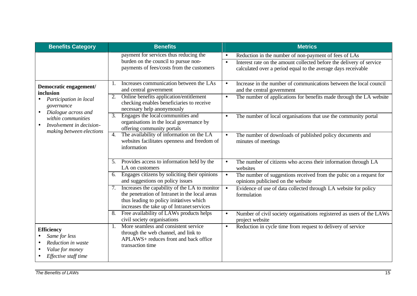| <b>Benefits Category</b>                                                                            | <b>Benefits</b>                                                                                                                                                                                 | <b>Metrics</b>                                                                                                                                                                                                           |
|-----------------------------------------------------------------------------------------------------|-------------------------------------------------------------------------------------------------------------------------------------------------------------------------------------------------|--------------------------------------------------------------------------------------------------------------------------------------------------------------------------------------------------------------------------|
|                                                                                                     | payment for services thus reducing the<br>burden on the council to pursue non-<br>payments of fees/costs from the customers                                                                     | Reduction in the number of non-payment of fees of LAs<br>$\bullet$<br>Interest rate on the amount collected before the delivery of service<br>$\bullet$<br>calculated over a period equal to the average days receivable |
| Democratic engagement/<br>inclusion                                                                 | Increases communication between the LAs<br>1.<br>and central government                                                                                                                         | Increase in the number of communications between the local council<br>$\bullet$<br>and the central government                                                                                                            |
| Participation in local<br>governance<br>Dialogue across and<br>$\bullet$                            | Online benefits application/entitlement<br>2.<br>checking enables beneficiaries to receive<br>necessary help anonymously                                                                        | The number of applications for benefits made through the LA website<br>$\bullet$                                                                                                                                         |
| within communities<br>Involvement in decision-<br>making between elections                          | Engages the local communities and<br>3.<br>organisations in the local governance by<br>offering community portals                                                                               | The number of local organisations that use the community portal<br>$\bullet$                                                                                                                                             |
|                                                                                                     | The availability of information on the LA<br>$\overline{4}$ .<br>websites facilitates openness and freedom of<br>information                                                                    | The number of downloads of published policy documents and<br>$\bullet$<br>minutes of meetings                                                                                                                            |
|                                                                                                     | Provides access to information held by the<br>5.<br>LA on customers                                                                                                                             | The number of citizens who access their information through LA<br>$\bullet$<br>websites                                                                                                                                  |
|                                                                                                     | Engages citizens by soliciting their opinions<br>6.<br>and suggestions on policy issues                                                                                                         | The number of suggestions received from the pubic on a request for<br>$\bullet$<br>opinions publicised on the website                                                                                                    |
|                                                                                                     | Increases the capability of the LA to monitor<br>7.<br>the penetration of Intranet in the local areas<br>thus leading to policy initiatives which<br>increases the take up of Intranet services | Evidence of use of data collected through LA website for policy<br>$\bullet$<br>formulation                                                                                                                              |
|                                                                                                     | Free availability of LAWs products helps<br>civil society organisations                                                                                                                         | Number of civil society organisations registered as users of the LAWs<br>$\bullet$<br>project website                                                                                                                    |
| <b>Efficiency</b><br>Same for less<br>Reduction in waste<br>Value for money<br>Effective staff time | More seamless and consistent service<br>1.<br>through the web channel, and link to<br>APLAWS+ reduces front and back office<br>transaction time                                                 | Reduction in cycle time from request to delivery of service<br>$\bullet$                                                                                                                                                 |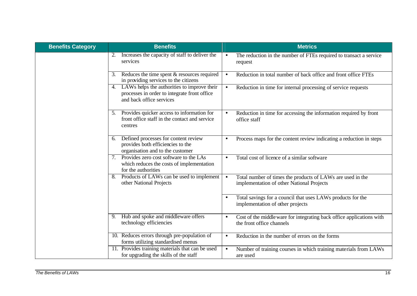| <b>Benefits Category</b> | <b>Benefits</b>                                                                                                               | <b>Metrics</b>                                                                                                       |
|--------------------------|-------------------------------------------------------------------------------------------------------------------------------|----------------------------------------------------------------------------------------------------------------------|
|                          | Increases the capacity of staff to deliver the<br>2.<br>services                                                              | The reduction in the number of FTEs required to transact a service<br>$\bullet$<br>request                           |
|                          | Reduces the time spent $&$ resources required<br>3.<br>in providing services to the citizens                                  | Reduction in total number of back office and front office FTEs<br>$\bullet$                                          |
|                          | LAWs helps the authorities to improve their<br>4.<br>processes in order to integrate front office<br>and back office services | Reduction in time for internal processing of service requests<br>$\bullet$                                           |
|                          | 5. Provides quicker access to information for<br>front office staff in the contact and service<br>centres                     | Reduction in time for accessing the information required by front<br>office staff                                    |
|                          | Defined processes for content review<br>6.<br>provides both efficiencies to the<br>organisation and to the customer           | Process maps for the content review indicating a reduction in steps                                                  |
|                          | Provides zero cost software to the LAs<br>7.<br>which reduces the costs of implementation<br>for the authorities              | Total cost of licence of a similar software<br>$\bullet$                                                             |
|                          | Products of LAWs can be used to implement<br>8.<br>other National Projects                                                    | Total number of times the products of LAWs are used in the<br>$\bullet$<br>implementation of other National Projects |
|                          |                                                                                                                               | Total savings for a council that uses LAWs products for the<br>implementation of other projects                      |
|                          | Hub and spoke and middleware offers<br>9.<br>technology efficiencies                                                          | Cost of the middle ware for integrating back office applications with<br>$\bullet$<br>the front office channels      |
|                          | 10. Reduces errors through pre-population of<br>forms utilizing standardised menus                                            | Reduction in the number of errors on the forms<br>$\bullet$                                                          |
|                          | 11. Provides training materials that can be used<br>for upgrading the skills of the staff                                     | Number of training courses in which training materials from LAWs<br>$\bullet$<br>are used                            |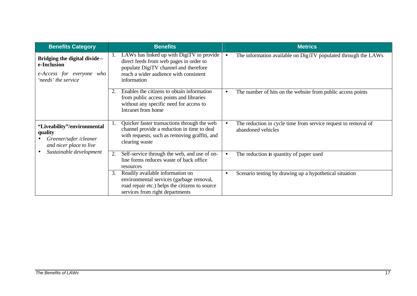| <b>Benefits Category</b>                                                                                              | <b>Benefits</b>                                                                                                                                                                        | <b>Metrics</b>                                                                                    |
|-----------------------------------------------------------------------------------------------------------------------|----------------------------------------------------------------------------------------------------------------------------------------------------------------------------------------|---------------------------------------------------------------------------------------------------|
| Bridging the digital divide -<br>e-Inclusion<br>e-Access for everyone who<br>'needs' the service                      | LAWs has linked up with DigiTV to provide<br>direct feeds from web pages in order to<br>populate DigiTV channel and therefore<br>reach a wider audience with consistent<br>information | The information available on DigiTV populated through the LAWs<br>$\bullet$                       |
|                                                                                                                       | Enables the citizens to obtain information<br>from public access points and libraries<br>without any specific need for access to<br>Intranet from home                                 | The number of hits on the website from public access points<br>$\bullet$                          |
| "Liveability"/environmental<br>quality<br>Greener/safer/cleaner<br>and nicer place to live<br>Sustainable development | Quicker faster transactions through the web<br>1.<br>channel provide a reduction in time to deal<br>with requests, such as removing graffiti, and<br>clearing waste                    | The reduction in cycle time from service request to removal of<br>$\bullet$<br>abandoned vehicles |
|                                                                                                                       | Self-service through the web, and use of on-<br>2.<br>line forms reduces waste of back office<br>resources                                                                             | The reduction in quantity of paper used<br>$\bullet$                                              |
|                                                                                                                       | Readily available information on<br>3.<br>environmental services (garbage removal,<br>road repair etc.) helps the citizens to source<br>services from right departments                | Scenario testing by drawing up a hypothetical situation<br>$\bullet$                              |